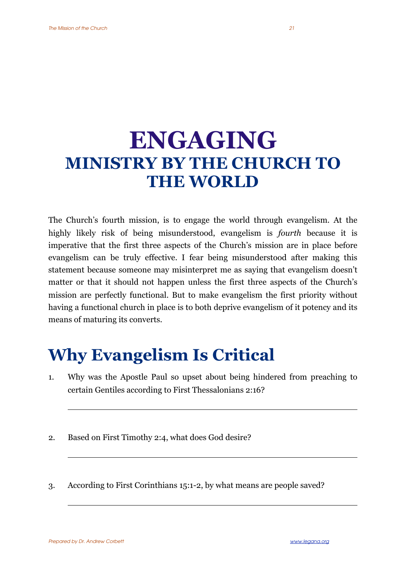## **ENGAGING MINISTRY BY THE CHURCH TO THE WORLD**

The Church's fourth mission, is to engage the world through evangelism. At the highly likely risk of being misunderstood, evangelism is *fourth* because it is imperative that the first three aspects of the Church's mission are in place before evangelism can be truly effective. I fear being misunderstood after making this statement because someone may misinterpret me as saying that evangelism doesn't matter or that it should not happen unless the first three aspects of the Church's mission are perfectly functional. But to make evangelism the first priority without having a functional church in place is to both deprive evangelism of it potency and its means of maturing its converts.

## **Why Evangelism Is Critical**

- 1. Why was the Apostle Paul so upset about being hindered from preaching to certain Gentiles according to First Thessalonians 2:16?
- 2. Based on First Timothy 2:4, what does God desire?
- 3. According to First Corinthians 15:1-2, by what means are people saved?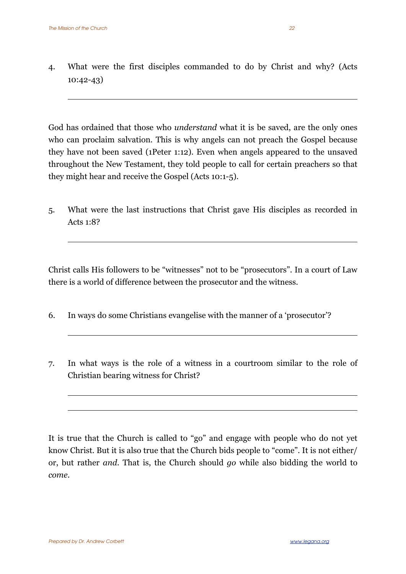4. What were the first disciples commanded to do by Christ and why? (Acts 10:42-43)

God has ordained that those who *understand* what it is be saved, are the only ones who can proclaim salvation. This is why angels can not preach the Gospel because they have not been saved (1Peter 1:12). Even when angels appeared to the unsaved throughout the New Testament, they told people to call for certain preachers so that they might hear and receive the Gospel (Acts 10:1-5).

5. What were the last instructions that Christ gave His disciples as recorded in Acts 1:8?

Christ calls His followers to be "witnesses" not to be "prosecutors". In a court of Law there is a world of difference between the prosecutor and the witness.

- 6. In ways do some Christians evangelise with the manner of a 'prosecutor'?
- 7. In what ways is the role of a witness in a courtroom similar to the role of Christian bearing witness for Christ?

It is true that the Church is called to "go" and engage with people who do not yet know Christ. But it is also true that the Church bids people to "come". It is not either/ or, but rather *and*. That is, the Church should *go* while also bidding the world to *come*.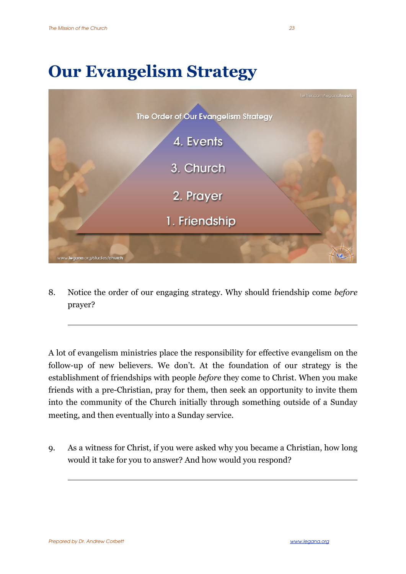## **Our Evangelism Strategy**



8. Notice the order of our engaging strategy. Why should friendship come *before* prayer?

A lot of evangelism ministries place the responsibility for effective evangelism on the follow-up of new believers. We don't. At the foundation of our strategy is the establishment of friendships with people *before* they come to Christ. When you make friends with a pre-Christian, pray for them, then seek an opportunity to invite them into the community of the Church initially through something outside of a Sunday meeting, and then eventually into a Sunday service.

9. As a witness for Christ, if you were asked why you became a Christian, how long would it take for you to answer? And how would you respond?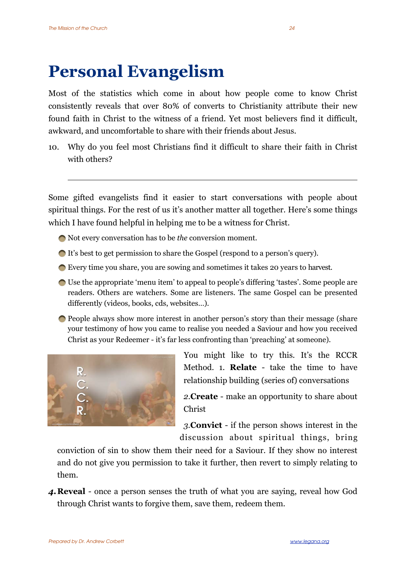## **Personal Evangelism**

Most of the statistics which come in about how people come to know Christ consistently reveals that over 80% of converts to Christianity attribute their new found faith in Christ to the witness of a friend. Yet most believers find it difficult, awkward, and uncomfortable to share with their friends about Jesus.

10. Why do you feel most Christians find it difficult to share their faith in Christ with others?

Some gifted evangelists find it easier to start conversations with people about spiritual things. For the rest of us it's another matter all together. Here's some things which I have found helpful in helping me to be a witness for Christ.

- Not every conversation has to be *the* conversion moment.
- It's best to get permission to share the Gospel (respond to a person's query).
- Every time you share, you are sowing and sometimes it takes 20 years to harvest.
- Use the appropriate 'menu item' to appeal to people's differing 'tastes'. Some people are readers. Others are watchers. Some are listeners. The same Gospel can be presented differently (videos, books, cds, websites…).
- People always show more interest in another person's story than their message (share your testimony of how you came to realise you needed a Saviour and how you received Christ as your Redeemer - it's far less confronting than 'preaching' at someone).



You might like to try this. It's the RCCR Method. 1. **Relate** - take the time to have relationship building (series of) conversations

*2.***Create** - make an opportunity to share about Christ

*3.***Convict** - if the person shows interest in the discussion about spiritual things, bring

conviction of sin to show them their need for a Saviour. If they show no interest and do not give you permission to take it further, then revert to simply relating to them.

*4.***Reveal** - once a person senses the truth of what you are saying, reveal how God through Christ wants to forgive them, save them, redeem them.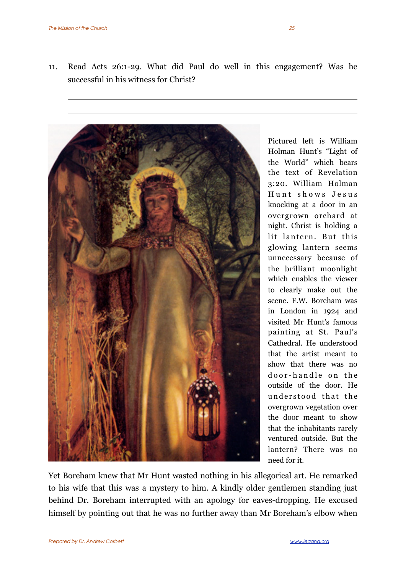11. Read Acts 26:1-29. What did Paul do well in this engagement? Was he successful in his witness for Christ?



Pictured left is William Holman Hunt's "Light of the World" which bears the text of Revelation 3:20. William Holman Hunt shows Jesus knocking at a door in an overgrown orchard at night. Christ is holding a lit lantern. But this glowing lantern seems unnecessary because of the brilliant moonlight which enables the viewer to clearly make out the scene. F.W. Boreham was in London in 1924 and visited Mr Hunt's famous painting at St. Paul's Cathedral. He understood that the artist meant to show that there was no door-handle on the outside of the door. He understood that the overgrown vegetation over the door meant to show that the inhabitants rarely ventured outside. But the lantern? There was no need for it.

Yet Boreham knew that Mr Hunt wasted nothing in his allegorical art. He remarked to his wife that this was a mystery to him. A kindly older gentlemen standing just behind Dr. Boreham interrupted with an apology for eaves-dropping. He excused himself by pointing out that he was no further away than Mr Boreham's elbow when